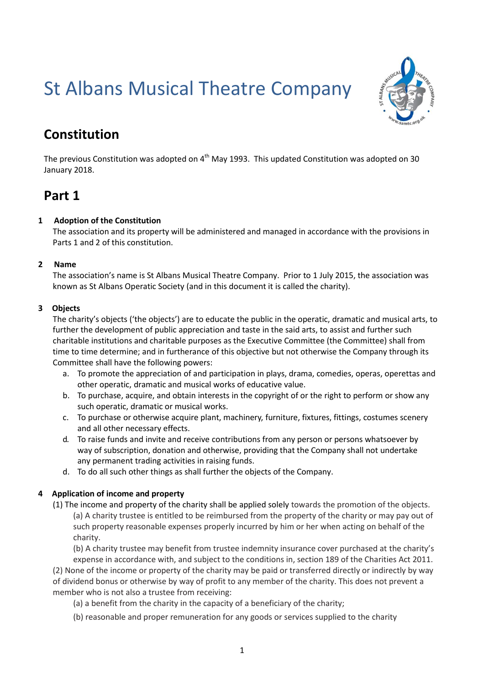# St Albans Musical Theatre Company



# **Constitution**

The previous Constitution was adopted on  $4<sup>th</sup>$  May 1993. This updated Constitution was adopted on 30 January 2018.

# **Part 1**

# **1 Adoption of the Constitution**

The association and its property will be administered and managed in accordance with the provisions in Parts 1 and 2 of this constitution.

### **2 Name**

The association's name is St Albans Musical Theatre Company. Prior to 1 July 2015, the association was known as St Albans Operatic Society (and in this document it is called the charity).

# **3 Objects**

The charity's objects ('the objects') are to educate the public in the operatic, dramatic and musical arts, to further the development of public appreciation and taste in the said arts, to assist and further such charitable institutions and charitable purposes as the Executive Committee (the Committee) shall from time to time determine; and in furtherance of this objective but not otherwise the Company through its Committee shall have the following powers:

- a. To promote the appreciation of and participation in plays, drama, comedies, operas, operettas and other operatic, dramatic and musical works of educative value.
- b. To purchase, acquire, and obtain interests in the copyright of or the right to perform or show any such operatic, dramatic or musical works.
- c. To purchase or otherwise acquire plant, machinery, furniture, fixtures, fittings, costumes scenery and all other necessary effects.
- d. To raise funds and invite and receive contributions from any person or persons whatsoever by way of subscription, donation and otherwise, providing that the Company shall not undertake any permanent trading activities in raising funds.
- d. To do all such other things as shall further the objects of the Company.

# **4 Application of income and property**

(1) The income and property of the charity shall be applied solely towards the promotion of the objects. (a) A charity trustee is entitled to be reimbursed from the property of the charity or may pay out of such property reasonable expenses properly incurred by him or her when acting on behalf of the charity.

(b) A charity trustee may benefit from trustee indemnity insurance cover purchased at the charity's expense in accordance with, and subject to the conditions in, section 189 of the Charities Act 2011. (2) None of the income or property of the charity may be paid or transferred directly or indirectly by way of dividend bonus or otherwise by way of profit to any member of the charity. This does not prevent a member who is not also a trustee from receiving:

- (a) a benefit from the charity in the capacity of a beneficiary of the charity;
- (b) reasonable and proper remuneration for any goods or services supplied to the charity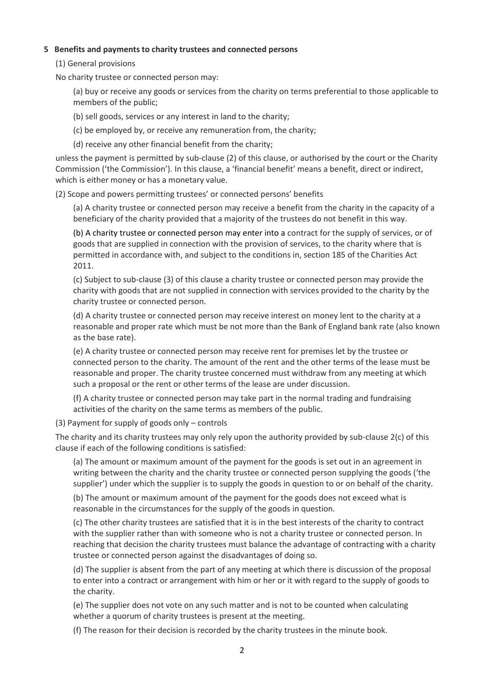#### **5 Benefits and payments to charity trustees and connected persons**

(1) General provisions

No charity trustee or connected person may:

(a) buy or receive any goods or services from the charity on terms preferential to those applicable to members of the public;

(b) sell goods, services or any interest in land to the charity;

(c) be employed by, or receive any remuneration from, the charity;

(d) receive any other financial benefit from the charity;

unless the payment is permitted by sub-clause (2) of this clause, or authorised by the court or the Charity Commission ('the Commission'). In this clause, a 'financial benefit' means a benefit, direct or indirect, which is either money or has a monetary value.

(2) Scope and powers permitting trustees' or connected persons' benefits

(a) A charity trustee or connected person may receive a benefit from the charity in the capacity of a beneficiary of the charity provided that a majority of the trustees do not benefit in this way.

(b) A charity trustee or connected person may enter into a contract for the supply of services, or of goods that are supplied in connection with the provision of services, to the charity where that is permitted in accordance with, and subject to the conditions in, section 185 of the Charities Act 2011.

(c) Subject to sub-clause (3) of this clause a charity trustee or connected person may provide the charity with goods that are not supplied in connection with services provided to the charity by the charity trustee or connected person.

(d) A charity trustee or connected person may receive interest on money lent to the charity at a reasonable and proper rate which must be not more than the Bank of England bank rate (also known as the base rate).

(e) A charity trustee or connected person may receive rent for premises let by the trustee or connected person to the charity. The amount of the rent and the other terms of the lease must be reasonable and proper. The charity trustee concerned must withdraw from any meeting at which such a proposal or the rent or other terms of the lease are under discussion.

(f) A charity trustee or connected person may take part in the normal trading and fundraising activities of the charity on the same terms as members of the public.

(3) Payment for supply of goods only – controls

The charity and its charity trustees may only rely upon the authority provided by sub-clause 2(c) of this clause if each of the following conditions is satisfied:

(a) The amount or maximum amount of the payment for the goods is set out in an agreement in writing between the charity and the charity trustee or connected person supplying the goods ('the supplier') under which the supplier is to supply the goods in question to or on behalf of the charity.

(b) The amount or maximum amount of the payment for the goods does not exceed what is reasonable in the circumstances for the supply of the goods in question.

(c) The other charity trustees are satisfied that it is in the best interests of the charity to contract with the supplier rather than with someone who is not a charity trustee or connected person. In reaching that decision the charity trustees must balance the advantage of contracting with a charity trustee or connected person against the disadvantages of doing so.

(d) The supplier is absent from the part of any meeting at which there is discussion of the proposal to enter into a contract or arrangement with him or her or it with regard to the supply of goods to the charity.

(e) The supplier does not vote on any such matter and is not to be counted when calculating whether a quorum of charity trustees is present at the meeting.

(f) The reason for their decision is recorded by the charity trustees in the minute book.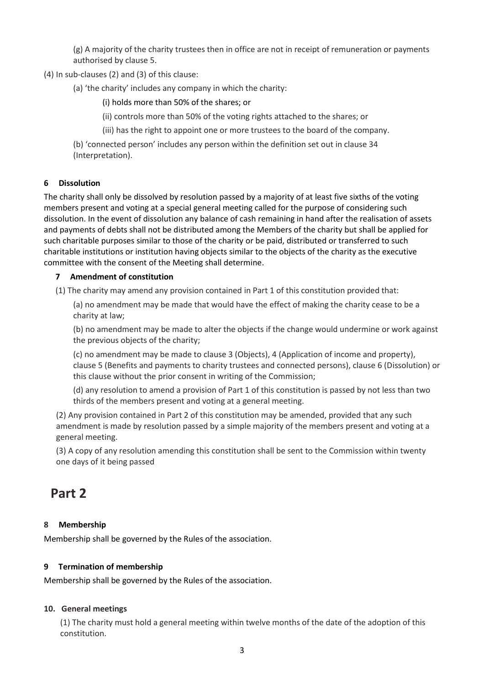(g) A majority of the charity trustees then in office are not in receipt of remuneration or payments authorised by clause 5.

(4) In sub-clauses (2) and (3) of this clause:

(a) 'the charity' includes any company in which the charity:

(i) holds more than 50% of the shares; or

(ii) controls more than 50% of the voting rights attached to the shares; or

(iii) has the right to appoint one or more trustees to the board of the company.

(b) 'connected person' includes any person within the definition set out in clause 34 (Interpretation).

# **6 Dissolution**

The charity shall only be dissolved by resolution passed by a majority of at least five sixths of the voting members present and voting at a special general meeting called for the purpose of considering such dissolution. In the event of dissolution any balance of cash remaining in hand after the realisation of assets and payments of debts shall not be distributed among the Members of the charity but shall be applied for such charitable purposes similar to those of the charity or be paid, distributed or transferred to such charitable institutions or institution having objects similar to the objects of the charity as the executive committee with the consent of the Meeting shall determine.

# **7 Amendment of constitution**

(1) The charity may amend any provision contained in Part 1 of this constitution provided that:

(a) no amendment may be made that would have the effect of making the charity cease to be a charity at law;

(b) no amendment may be made to alter the objects if the change would undermine or work against the previous objects of the charity;

(c) no amendment may be made to clause 3 (Objects), 4 (Application of income and property), clause 5 (Benefits and payments to charity trustees and connected persons), clause 6 (Dissolution) or this clause without the prior consent in writing of the Commission;

(d) any resolution to amend a provision of Part 1 of this constitution is passed by not less than two thirds of the members present and voting at a general meeting.

(2) Any provision contained in Part 2 of this constitution may be amended, provided that any such amendment is made by resolution passed by a simple majority of the members present and voting at a general meeting.

(3) A copy of any resolution amending this constitution shall be sent to the Commission within twenty one days of it being passed

# **Part 2**

# **8 Membership**

Membership shall be governed by the Rules of the association.

### **9 Termination of membership**

Membership shall be governed by the Rules of the association.

### **10. General meetings**

(1) The charity must hold a general meeting within twelve months of the date of the adoption of this constitution.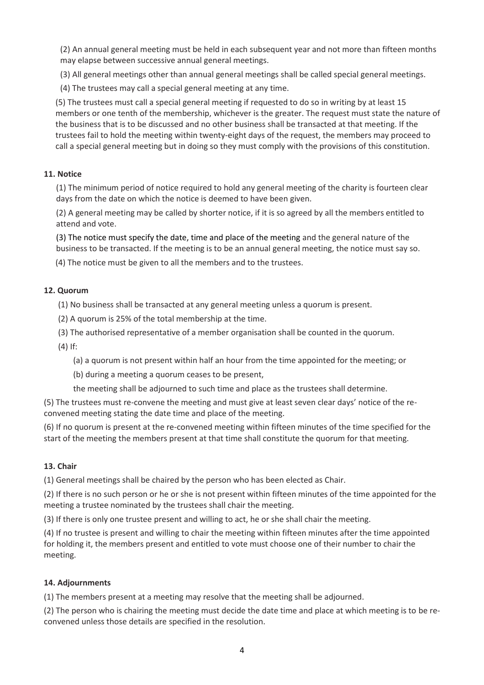(2) An annual general meeting must be held in each subsequent year and not more than fifteen months may elapse between successive annual general meetings.

(3) All general meetings other than annual general meetings shall be called special general meetings.

(4) The trustees may call a special general meeting at any time.

(5) The trustees must call a special general meeting if requested to do so in writing by at least 15 members or one tenth of the membership, whichever is the greater. The request must state the nature of the business that is to be discussed and no other business shall be transacted at that meeting. If the trustees fail to hold the meeting within twenty-eight days of the request, the members may proceed to call a special general meeting but in doing so they must comply with the provisions of this constitution.

#### **11. Notice**

(1) The minimum period of notice required to hold any general meeting of the charity is fourteen clear days from the date on which the notice is deemed to have been given.

(2) A general meeting may be called by shorter notice, if it is so agreed by all the members entitled to attend and vote.

(3) The notice must specify the date, time and place of the meeting and the general nature of the business to be transacted. If the meeting is to be an annual general meeting, the notice must say so.

(4) The notice must be given to all the members and to the trustees.

#### **12. Quorum**

(1) No business shall be transacted at any general meeting unless a quorum is present.

- (2) A quorum is 25% of the total membership at the time.
- (3) The authorised representative of a member organisation shall be counted in the quorum.

(4) If:

(a) a quorum is not present within half an hour from the time appointed for the meeting; or

(b) during a meeting a quorum ceases to be present,

the meeting shall be adjourned to such time and place as the trustees shall determine.

(5) The trustees must re-convene the meeting and must give at least seven clear days' notice of the reconvened meeting stating the date time and place of the meeting.

(6) If no quorum is present at the re-convened meeting within fifteen minutes of the time specified for the start of the meeting the members present at that time shall constitute the quorum for that meeting.

#### **13. Chair**

(1) General meetings shall be chaired by the person who has been elected as Chair.

(2) If there is no such person or he or she is not present within fifteen minutes of the time appointed for the meeting a trustee nominated by the trustees shall chair the meeting.

(3) If there is only one trustee present and willing to act, he or she shall chair the meeting.

(4) If no trustee is present and willing to chair the meeting within fifteen minutes after the time appointed for holding it, the members present and entitled to vote must choose one of their number to chair the meeting.

#### **14. Adjournments**

(1) The members present at a meeting may resolve that the meeting shall be adjourned.

(2) The person who is chairing the meeting must decide the date time and place at which meeting is to be reconvened unless those details are specified in the resolution.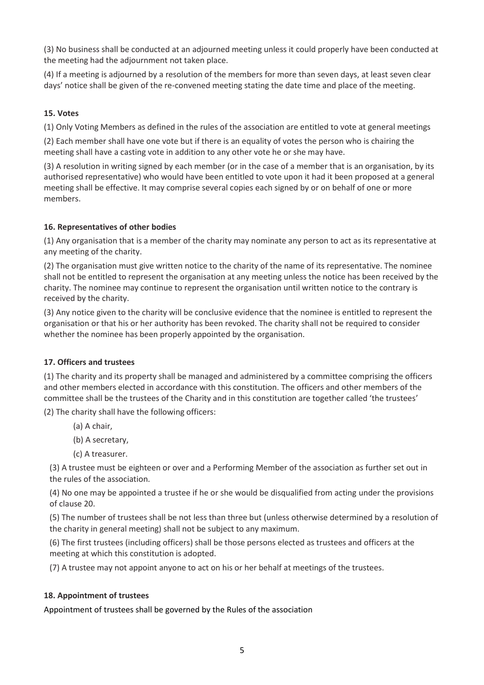(3) No business shall be conducted at an adjourned meeting unless it could properly have been conducted at the meeting had the adjournment not taken place.

(4) If a meeting is adjourned by a resolution of the members for more than seven days, at least seven clear days' notice shall be given of the re-convened meeting stating the date time and place of the meeting.

# **15. Votes**

(1) Only Voting Members as defined in the rules of the association are entitled to vote at general meetings

(2) Each member shall have one vote but if there is an equality of votes the person who is chairing the meeting shall have a casting vote in addition to any other vote he or she may have.

(3) A resolution in writing signed by each member (or in the case of a member that is an organisation, by its authorised representative) who would have been entitled to vote upon it had it been proposed at a general meeting shall be effective. It may comprise several copies each signed by or on behalf of one or more members.

### **16. Representatives of other bodies**

(1) Any organisation that is a member of the charity may nominate any person to act as its representative at any meeting of the charity.

(2) The organisation must give written notice to the charity of the name of its representative. The nominee shall not be entitled to represent the organisation at any meeting unless the notice has been received by the charity. The nominee may continue to represent the organisation until written notice to the contrary is received by the charity.

(3) Any notice given to the charity will be conclusive evidence that the nominee is entitled to represent the organisation or that his or her authority has been revoked. The charity shall not be required to consider whether the nominee has been properly appointed by the organisation.

### **17. Officers and trustees**

(1) The charity and its property shall be managed and administered by a committee comprising the officers and other members elected in accordance with this constitution. The officers and other members of the committee shall be the trustees of the Charity and in this constitution are together called 'the trustees'

(2) The charity shall have the following officers:

- (a) A chair,
- (b) A secretary,
- (c) A treasurer.

(3) A trustee must be eighteen or over and a Performing Member of the association as further set out in the rules of the association.

(4) No one may be appointed a trustee if he or she would be disqualified from acting under the provisions of clause 20.

(5) The number of trustees shall be not less than three but (unless otherwise determined by a resolution of the charity in general meeting) shall not be subject to any maximum.

(6) The first trustees (including officers) shall be those persons elected as trustees and officers at the meeting at which this constitution is adopted.

(7) A trustee may not appoint anyone to act on his or her behalf at meetings of the trustees.

### **18. Appointment of trustees**

Appointment of trustees shall be governed by the Rules of the association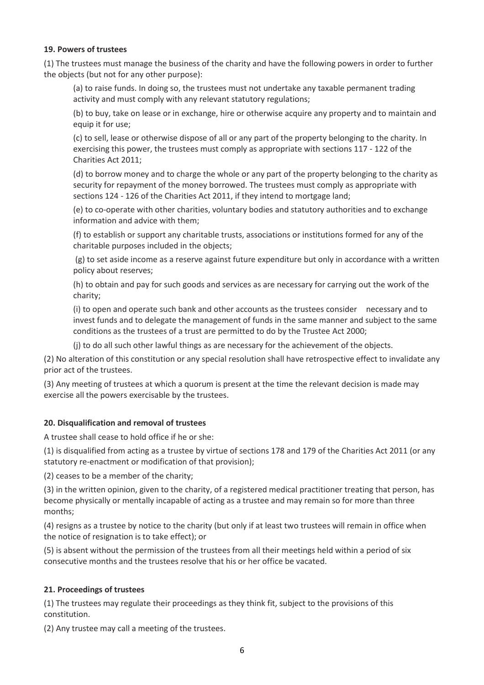#### **19. Powers of trustees**

(1) The trustees must manage the business of the charity and have the following powers in order to further the objects (but not for any other purpose):

(a) to raise funds. In doing so, the trustees must not undertake any taxable permanent trading activity and must comply with any relevant statutory regulations;

(b) to buy, take on lease or in exchange, hire or otherwise acquire any property and to maintain and equip it for use;

(c) to sell, lease or otherwise dispose of all or any part of the property belonging to the charity. In exercising this power, the trustees must comply as appropriate with sections 117 - 122 of the Charities Act 2011;

(d) to borrow money and to charge the whole or any part of the property belonging to the charity as security for repayment of the money borrowed. The trustees must comply as appropriate with sections 124 - 126 of the Charities Act 2011, if they intend to mortgage land;

(e) to co-operate with other charities, voluntary bodies and statutory authorities and to exchange information and advice with them;

(f) to establish or support any charitable trusts, associations or institutions formed for any of the charitable purposes included in the objects;

(g) to set aside income as a reserve against future expenditure but only in accordance with a written policy about reserves;

(h) to obtain and pay for such goods and services as are necessary for carrying out the work of the charity;

(i) to open and operate such bank and other accounts as the trustees consider necessary and to invest funds and to delegate the management of funds in the same manner and subject to the same conditions as the trustees of a trust are permitted to do by the Trustee Act 2000;

(j) to do all such other lawful things as are necessary for the achievement of the objects.

(2) No alteration of this constitution or any special resolution shall have retrospective effect to invalidate any prior act of the trustees.

(3) Any meeting of trustees at which a quorum is present at the time the relevant decision is made may exercise all the powers exercisable by the trustees.

### **20. Disqualification and removal of trustees**

A trustee shall cease to hold office if he or she:

(1) is disqualified from acting as a trustee by virtue of sections 178 and 179 of the Charities Act 2011 (or any statutory re-enactment or modification of that provision);

(2) ceases to be a member of the charity;

(3) in the written opinion, given to the charity, of a registered medical practitioner treating that person, has become physically or mentally incapable of acting as a trustee and may remain so for more than three months;

(4) resigns as a trustee by notice to the charity (but only if at least two trustees will remain in office when the notice of resignation is to take effect); or

(5) is absent without the permission of the trustees from all their meetings held within a period of six consecutive months and the trustees resolve that his or her office be vacated.

### **21. Proceedings of trustees**

(1) The trustees may regulate their proceedings as they think fit, subject to the provisions of this constitution.

(2) Any trustee may call a meeting of the trustees.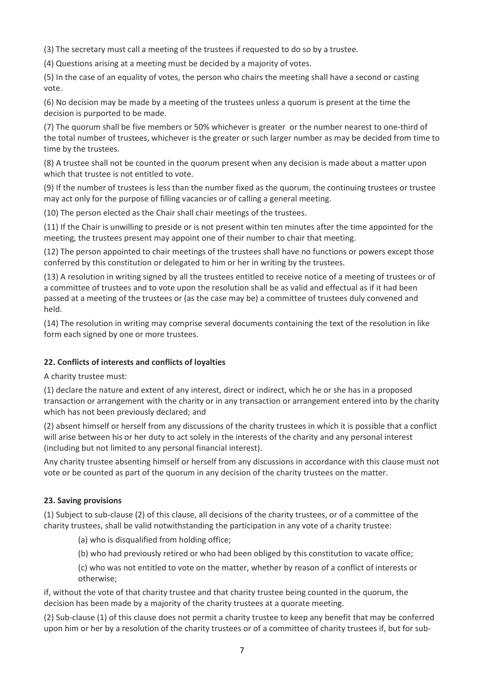(3) The secretary must call a meeting of the trustees if requested to do so by a trustee.

(4) Questions arising at a meeting must be decided by a majority of votes.

(5) In the case of an equality of votes, the person who chairs the meeting shall have a second or casting vote.

(6) No decision may be made by a meeting of the trustees unless a quorum is present at the time the decision is purported to be made.

(7) The quorum shall be five members or 50% whichever is greater or the number nearest to one-third of the total number of trustees, whichever is the greater or such larger number as may be decided from time to time by the trustees.

(8) A trustee shall not be counted in the quorum present when any decision is made about a matter upon which that trustee is not entitled to vote.

(9) If the number of trustees is less than the number fixed as the quorum, the continuing trustees or trustee may act only for the purpose of filling vacancies or of calling a general meeting.

(10) The person elected as the Chair shall chair meetings of the trustees.

(11) If the Chair is unwilling to preside or is not present within ten minutes after the time appointed for the meeting, the trustees present may appoint one of their number to chair that meeting.

(12) The person appointed to chair meetings of the trustees shall have no functions or powers except those conferred by this constitution or delegated to him or her in writing by the trustees.

(13) A resolution in writing signed by all the trustees entitled to receive notice of a meeting of trustees or of a committee of trustees and to vote upon the resolution shall be as valid and effectual as if it had been passed at a meeting of the trustees or (as the case may be) a committee of trustees duly convened and held.

(14) The resolution in writing may comprise several documents containing the text of the resolution in like form each signed by one or more trustees.

### **22. Conflicts of interests and conflicts of loyalties**

A charity trustee must:

(1) declare the nature and extent of any interest, direct or indirect, which he or she has in a proposed transaction or arrangement with the charity or in any transaction or arrangement entered into by the charity which has not been previously declared; and

(2) absent himself or herself from any discussions of the charity trustees in which it is possible that a conflict will arise between his or her duty to act solely in the interests of the charity and any personal interest (including but not limited to any personal financial interest).

Any charity trustee absenting himself or herself from any discussions in accordance with this clause must not vote or be counted as part of the quorum in any decision of the charity trustees on the matter.

### **23. Saving provisions**

(1) Subject to sub-clause (2) of this clause, all decisions of the charity trustees, or of a committee of the charity trustees, shall be valid notwithstanding the participation in any vote of a charity trustee:

(a) who is disqualified from holding office;

(b) who had previously retired or who had been obliged by this constitution to vacate office;

(c) who was not entitled to vote on the matter, whether by reason of a conflict of interests or otherwise;

if, without the vote of that charity trustee and that charity trustee being counted in the quorum, the decision has been made by a majority of the charity trustees at a quorate meeting.

(2) Sub-clause (1) of this clause does not permit a charity trustee to keep any benefit that may be conferred upon him or her by a resolution of the charity trustees or of a committee of charity trustees if, but for sub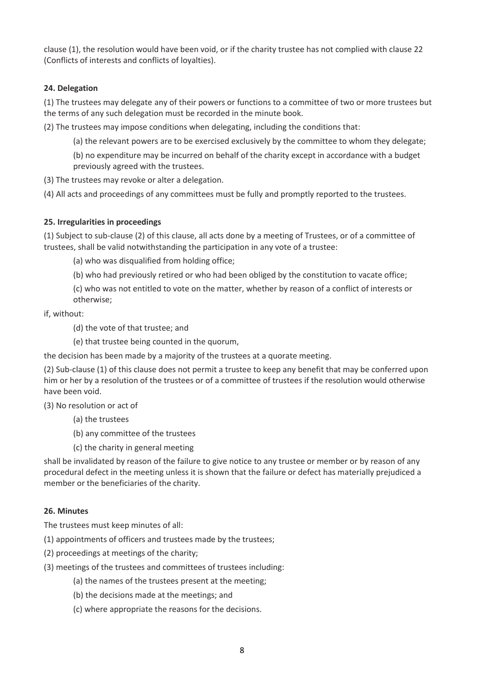clause (1), the resolution would have been void, or if the charity trustee has not complied with clause 22 (Conflicts of interests and conflicts of loyalties).

# **24. Delegation**

(1) The trustees may delegate any of their powers or functions to a committee of two or more trustees but the terms of any such delegation must be recorded in the minute book.

(2) The trustees may impose conditions when delegating, including the conditions that:

(a) the relevant powers are to be exercised exclusively by the committee to whom they delegate;

(b) no expenditure may be incurred on behalf of the charity except in accordance with a budget previously agreed with the trustees.

(3) The trustees may revoke or alter a delegation.

(4) All acts and proceedings of any committees must be fully and promptly reported to the trustees.

# **25. Irregularities in proceedings**

(1) Subject to sub-clause (2) of this clause, all acts done by a meeting of Trustees, or of a committee of trustees, shall be valid notwithstanding the participation in any vote of a trustee:

(a) who was disqualified from holding office;

(b) who had previously retired or who had been obliged by the constitution to vacate office;

(c) who was not entitled to vote on the matter, whether by reason of a conflict of interests or otherwise;

if, without:

(d) the vote of that trustee; and

(e) that trustee being counted in the quorum,

the decision has been made by a majority of the trustees at a quorate meeting.

(2) Sub-clause (1) of this clause does not permit a trustee to keep any benefit that may be conferred upon him or her by a resolution of the trustees or of a committee of trustees if the resolution would otherwise have been void.

(3) No resolution or act of

- (a) the trustees
- (b) any committee of the trustees
- (c) the charity in general meeting

shall be invalidated by reason of the failure to give notice to any trustee or member or by reason of any procedural defect in the meeting unless it is shown that the failure or defect has materially prejudiced a member or the beneficiaries of the charity.

### **26. Minutes**

The trustees must keep minutes of all:

(1) appointments of officers and trustees made by the trustees;

- (2) proceedings at meetings of the charity;
- (3) meetings of the trustees and committees of trustees including:
	- (a) the names of the trustees present at the meeting;
	- (b) the decisions made at the meetings; and
	- (c) where appropriate the reasons for the decisions.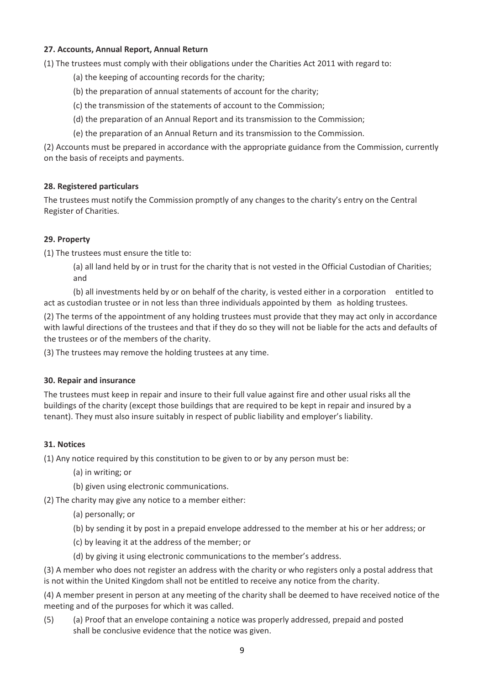### **27. Accounts, Annual Report, Annual Return**

(1) The trustees must comply with their obligations under the Charities Act 2011 with regard to:

- (a) the keeping of accounting records for the charity;
- (b) the preparation of annual statements of account for the charity;
- (c) the transmission of the statements of account to the Commission;
- (d) the preparation of an Annual Report and its transmission to the Commission;
- (e) the preparation of an Annual Return and its transmission to the Commission.

(2) Accounts must be prepared in accordance with the appropriate guidance from the Commission, currently on the basis of receipts and payments.

#### **28. Registered particulars**

The trustees must notify the Commission promptly of any changes to the charity's entry on the Central Register of Charities.

#### **29. Property**

(1) The trustees must ensure the title to:

(a) all land held by or in trust for the charity that is not vested in the Official Custodian of Charities; and

(b) all investments held by or on behalf of the charity, is vested either in a corporation entitled to act as custodian trustee or in not less than three individuals appointed by them as holding trustees.

(2) The terms of the appointment of any holding trustees must provide that they may act only in accordance with lawful directions of the trustees and that if they do so they will not be liable for the acts and defaults of the trustees or of the members of the charity.

(3) The trustees may remove the holding trustees at any time.

#### **30. Repair and insurance**

The trustees must keep in repair and insure to their full value against fire and other usual risks all the buildings of the charity (except those buildings that are required to be kept in repair and insured by a tenant). They must also insure suitably in respect of public liability and employer's liability.

#### **31. Notices**

(1) Any notice required by this constitution to be given to or by any person must be:

- (a) in writing; or
- (b) given using electronic communications.
- (2) The charity may give any notice to a member either:
	- (a) personally; or
	- (b) by sending it by post in a prepaid envelope addressed to the member at his or her address; or
	- (c) by leaving it at the address of the member; or
	- (d) by giving it using electronic communications to the member's address.

(3) A member who does not register an address with the charity or who registers only a postal address that is not within the United Kingdom shall not be entitled to receive any notice from the charity.

(4) A member present in person at any meeting of the charity shall be deemed to have received notice of the meeting and of the purposes for which it was called.

(5) (a) Proof that an envelope containing a notice was properly addressed, prepaid and posted shall be conclusive evidence that the notice was given.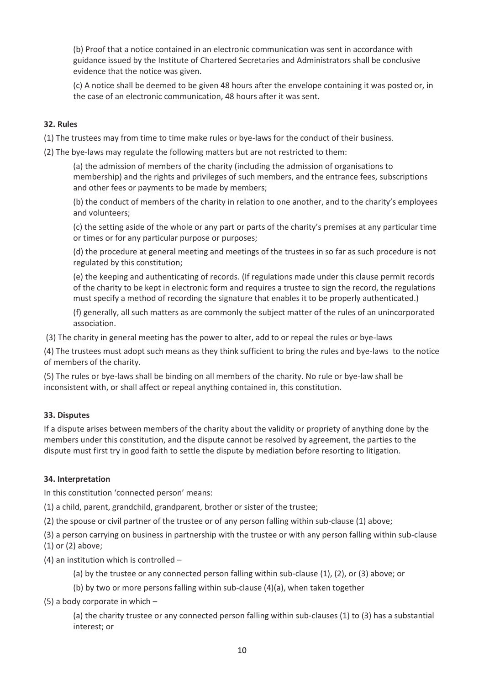(b) Proof that a notice contained in an electronic communication was sent in accordance with guidance issued by the Institute of Chartered Secretaries and Administrators shall be conclusive evidence that the notice was given.

(c) A notice shall be deemed to be given 48 hours after the envelope containing it was posted or, in the case of an electronic communication, 48 hours after it was sent.

#### **32. Rules**

(1) The trustees may from time to time make rules or bye-laws for the conduct of their business.

(2) The bye-laws may regulate the following matters but are not restricted to them:

(a) the admission of members of the charity (including the admission of organisations to membership) and the rights and privileges of such members, and the entrance fees, subscriptions and other fees or payments to be made by members;

(b) the conduct of members of the charity in relation to one another, and to the charity's employees and volunteers;

(c) the setting aside of the whole or any part or parts of the charity's premises at any particular time or times or for any particular purpose or purposes;

(d) the procedure at general meeting and meetings of the trustees in so far as such procedure is not regulated by this constitution;

(e) the keeping and authenticating of records. (If regulations made under this clause permit records of the charity to be kept in electronic form and requires a trustee to sign the record, the regulations must specify a method of recording the signature that enables it to be properly authenticated.)

(f) generally, all such matters as are commonly the subject matter of the rules of an unincorporated association.

(3) The charity in general meeting has the power to alter, add to or repeal the rules or bye-laws

(4) The trustees must adopt such means as they think sufficient to bring the rules and bye-laws to the notice of members of the charity.

(5) The rules or bye-laws shall be binding on all members of the charity. No rule or bye-law shall be inconsistent with, or shall affect or repeal anything contained in, this constitution.

### **33. Disputes**

If a dispute arises between members of the charity about the validity or propriety of anything done by the members under this constitution, and the dispute cannot be resolved by agreement, the parties to the dispute must first try in good faith to settle the dispute by mediation before resorting to litigation.

### **34. Interpretation**

In this constitution 'connected person' means:

(1) a child, parent, grandchild, grandparent, brother or sister of the trustee;

(2) the spouse or civil partner of the trustee or of any person falling within sub-clause (1) above;

(3) a person carrying on business in partnership with the trustee or with any person falling within sub-clause

- (1) or (2) above;
- (4) an institution which is controlled –

(a) by the trustee or any connected person falling within sub-clause (1), (2), or (3) above; or

(b) by two or more persons falling within sub-clause (4)(a), when taken together

(5) a body corporate in which –

(a) the charity trustee or any connected person falling within sub-clauses (1) to (3) has a substantial interest; or